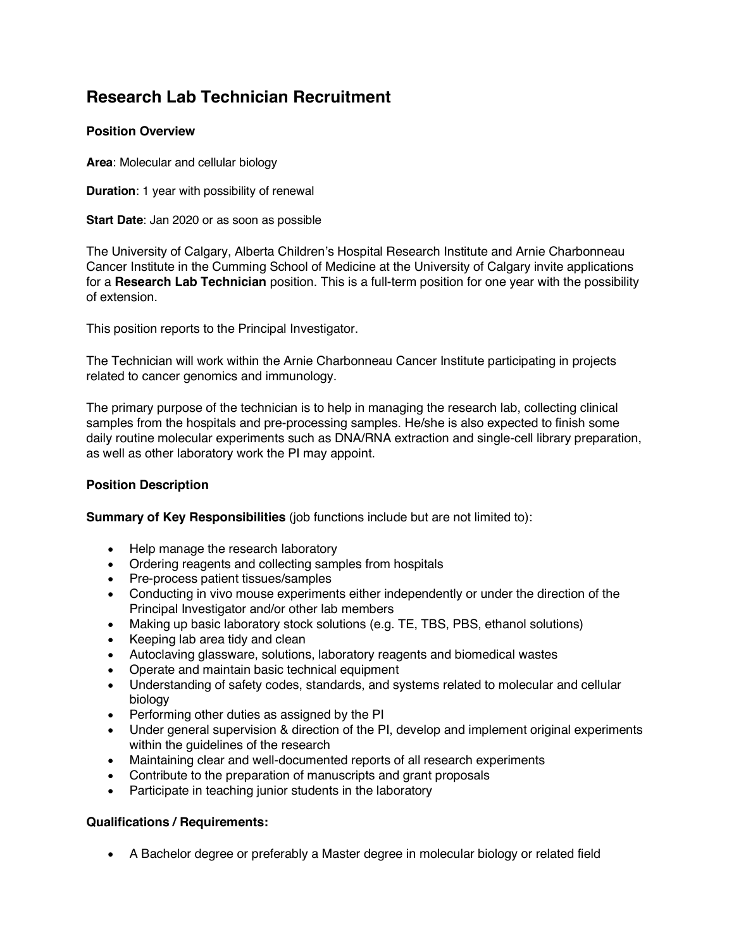# **Research Lab Technician Recruitment**

# **Position Overview**

**Area**: Molecular and cellular biology

**Duration**: 1 year with possibility of renewal

**Start Date**: Jan 2020 or as soon as possible

The University of Calgary, Alberta Children's Hospital Research Institute and Arnie Charbonneau Cancer Institute in the Cumming School of Medicine at the University of Calgary invite applications for a **Research Lab Technician** position. This is a full-term position for one year with the possibility of extension.

This position reports to the Principal Investigator.

The Technician will work within the Arnie Charbonneau Cancer Institute participating in projects related to cancer genomics and immunology.

The primary purpose of the technician is to help in managing the research lab, collecting clinical samples from the hospitals and pre-processing samples. He/she is also expected to finish some daily routine molecular experiments such as DNA/RNA extraction and single-cell library preparation, as well as other laboratory work the PI may appoint.

# **Position Description**

**Summary of Key Responsibilities** (job functions include but are not limited to):

- Help manage the research laboratory
- Ordering reagents and collecting samples from hospitals
- Pre-process patient tissues/samples
- Conducting in vivo mouse experiments either independently or under the direction of the Principal Investigator and/or other lab members
- Making up basic laboratory stock solutions (e.g. TE, TBS, PBS, ethanol solutions)
- Keeping lab area tidy and clean
- Autoclaving glassware, solutions, laboratory reagents and biomedical wastes
- Operate and maintain basic technical equipment
- Understanding of safety codes, standards, and systems related to molecular and cellular biology
- Performing other duties as assigned by the PI
- Under general supervision & direction of the PI, develop and implement original experiments within the guidelines of the research
- Maintaining clear and well-documented reports of all research experiments
- Contribute to the preparation of manuscripts and grant proposals
- Participate in teaching junior students in the laboratory

### **Qualifications / Requirements:**

• A Bachelor degree or preferably a Master degree in molecular biology or related field